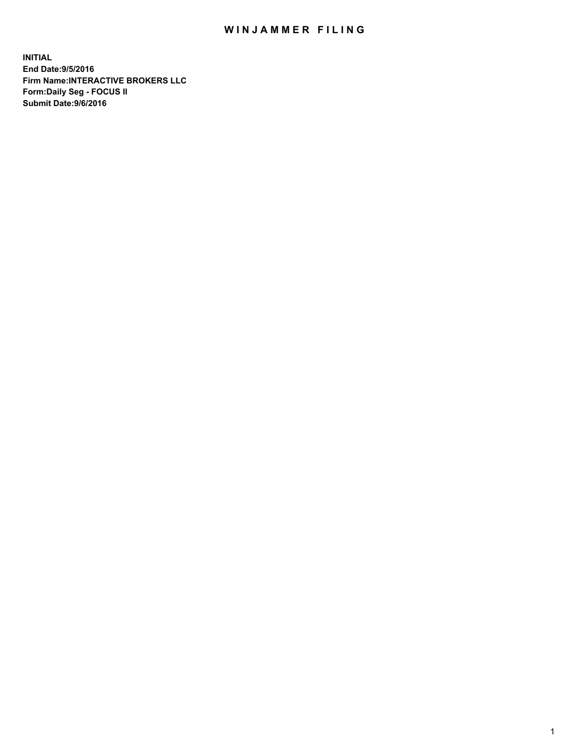## WIN JAMMER FILING

**INITIAL End Date:9/5/2016 Firm Name:INTERACTIVE BROKERS LLC Form:Daily Seg - FOCUS II Submit Date:9/6/2016**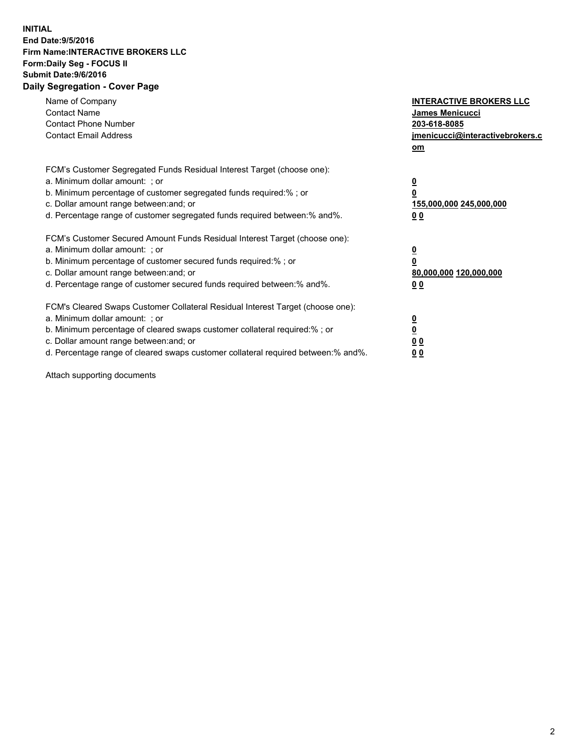## **INITIAL End Date:9/5/2016 Firm Name:INTERACTIVE BROKERS LLC Form:Daily Seg - FOCUS II Submit Date:9/6/2016 Daily Segregation - Cover Page**

| Name of Company<br><b>Contact Name</b><br><b>Contact Phone Number</b><br><b>Contact Email Address</b>                                                                                                                                                                                                                          | <b>INTERACTIVE BROKERS LLC</b><br>James Menicucci<br>203-618-8085<br>jmenicucci@interactivebrokers.c<br>om |
|--------------------------------------------------------------------------------------------------------------------------------------------------------------------------------------------------------------------------------------------------------------------------------------------------------------------------------|------------------------------------------------------------------------------------------------------------|
| FCM's Customer Segregated Funds Residual Interest Target (choose one):<br>a. Minimum dollar amount: ; or<br>b. Minimum percentage of customer segregated funds required:%; or<br>c. Dollar amount range between: and; or<br>d. Percentage range of customer segregated funds required between:% and%.                          | $\overline{\mathbf{0}}$<br>$\overline{\mathbf{0}}$<br>155,000,000 245,000,000<br>00                        |
| FCM's Customer Secured Amount Funds Residual Interest Target (choose one):<br>a. Minimum dollar amount: ; or<br>b. Minimum percentage of customer secured funds required:%; or<br>c. Dollar amount range between: and; or<br>d. Percentage range of customer secured funds required between: % and %.                          | $\overline{\mathbf{0}}$<br>$\mathbf 0$<br>80,000,000 120,000,000<br>00                                     |
| FCM's Cleared Swaps Customer Collateral Residual Interest Target (choose one):<br>a. Minimum dollar amount: ; or<br>b. Minimum percentage of cleared swaps customer collateral required:% ; or<br>c. Dollar amount range between: and; or<br>d. Percentage range of cleared swaps customer collateral required between:% and%. | $\overline{\mathbf{0}}$<br>$\underline{\mathbf{0}}$<br>0 <sub>0</sub><br>0 <sub>0</sub>                    |

Attach supporting documents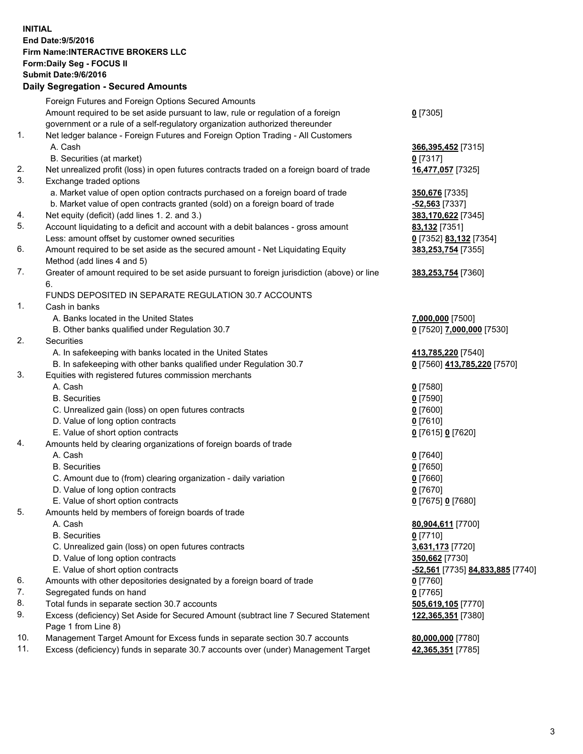## **INITIAL End Date:9/5/2016 Firm Name:INTERACTIVE BROKERS LLC Form:Daily Seg - FOCUS II Submit Date:9/6/2016 Daily Segregation - Secured Amounts**

|          | Foreign Futures and Foreign Options Secured Amounts                                                                                  |                                  |
|----------|--------------------------------------------------------------------------------------------------------------------------------------|----------------------------------|
|          | Amount required to be set aside pursuant to law, rule or regulation of a foreign                                                     | $0$ [7305]                       |
|          | government or a rule of a self-regulatory organization authorized thereunder                                                         |                                  |
| 1.       | Net ledger balance - Foreign Futures and Foreign Option Trading - All Customers                                                      |                                  |
|          | A. Cash                                                                                                                              | 366,395,452 [7315]               |
|          | B. Securities (at market)                                                                                                            | $0$ [7317]                       |
| 2.       | Net unrealized profit (loss) in open futures contracts traded on a foreign board of trade                                            | 16,477,057 [7325]                |
| 3.       | Exchange traded options                                                                                                              |                                  |
|          | a. Market value of open option contracts purchased on a foreign board of trade                                                       | 350,676 [7335]                   |
|          | b. Market value of open contracts granted (sold) on a foreign board of trade                                                         | -52,563 [7337]                   |
| 4.       | Net equity (deficit) (add lines 1.2. and 3.)                                                                                         | 383,170,622 [7345]               |
| 5.       | Account liquidating to a deficit and account with a debit balances - gross amount                                                    | <b>83,132</b> [7351]             |
|          | Less: amount offset by customer owned securities                                                                                     | 0 [7352] 83,132 [7354]           |
| 6.       | Amount required to be set aside as the secured amount - Net Liquidating Equity                                                       | 383,253,754 [7355]               |
|          | Method (add lines 4 and 5)                                                                                                           |                                  |
| 7.       | Greater of amount required to be set aside pursuant to foreign jurisdiction (above) or line                                          | 383,253,754 [7360]               |
|          | 6.                                                                                                                                   |                                  |
|          | FUNDS DEPOSITED IN SEPARATE REGULATION 30.7 ACCOUNTS                                                                                 |                                  |
| 1.       | Cash in banks                                                                                                                        |                                  |
|          | A. Banks located in the United States                                                                                                | 7,000,000 [7500]                 |
|          | B. Other banks qualified under Regulation 30.7                                                                                       | 0 [7520] 7,000,000 [7530]        |
| 2.       | Securities                                                                                                                           |                                  |
|          | A. In safekeeping with banks located in the United States                                                                            | 413,785,220 [7540]               |
|          | B. In safekeeping with other banks qualified under Regulation 30.7                                                                   | 0 [7560] 413,785,220 [7570]      |
| 3.       | Equities with registered futures commission merchants                                                                                |                                  |
|          | A. Cash                                                                                                                              | $0$ [7580]                       |
|          | <b>B.</b> Securities                                                                                                                 | $0$ [7590]                       |
|          | C. Unrealized gain (loss) on open futures contracts                                                                                  | $0$ [7600]                       |
|          | D. Value of long option contracts                                                                                                    | $0$ [7610]                       |
|          | E. Value of short option contracts                                                                                                   | 0 [7615] 0 [7620]                |
| 4.       | Amounts held by clearing organizations of foreign boards of trade                                                                    |                                  |
|          | A. Cash                                                                                                                              | $Q$ [7640]                       |
|          | <b>B.</b> Securities                                                                                                                 | $0$ [7650]                       |
|          | C. Amount due to (from) clearing organization - daily variation                                                                      | $0$ [7660]                       |
|          | D. Value of long option contracts                                                                                                    | $0$ [7670]                       |
|          | E. Value of short option contracts                                                                                                   | 0 [7675] 0 [7680]                |
| 5.       | Amounts held by members of foreign boards of trade                                                                                   |                                  |
|          | A. Cash                                                                                                                              | 80,904,611 [7700]                |
|          | <b>B.</b> Securities                                                                                                                 | $0$ [7710]                       |
|          | C. Unrealized gain (loss) on open futures contracts                                                                                  | 3,631,173 [7720]                 |
|          | D. Value of long option contracts                                                                                                    | 350,662 [7730]                   |
|          | E. Value of short option contracts                                                                                                   | -52,561 [7735] 84,833,885 [7740] |
| 6.<br>7. | Amounts with other depositories designated by a foreign board of trade                                                               | $0$ [7760]                       |
| 8.       | Segregated funds on hand                                                                                                             | $0$ [7765]                       |
| 9.       | Total funds in separate section 30.7 accounts<br>Excess (deficiency) Set Aside for Secured Amount (subtract line 7 Secured Statement | 505,619,105 [7770]               |
|          | Page 1 from Line 8)                                                                                                                  | 122,365,351 [7380]               |
| 10.      | Management Target Amount for Excess funds in separate section 30.7 accounts                                                          | 80,000,000 [7780]                |
| 11.      | Excess (deficiency) funds in separate 30.7 accounts over (under) Management Target                                                   | 42,365,351 [7785]                |
|          |                                                                                                                                      |                                  |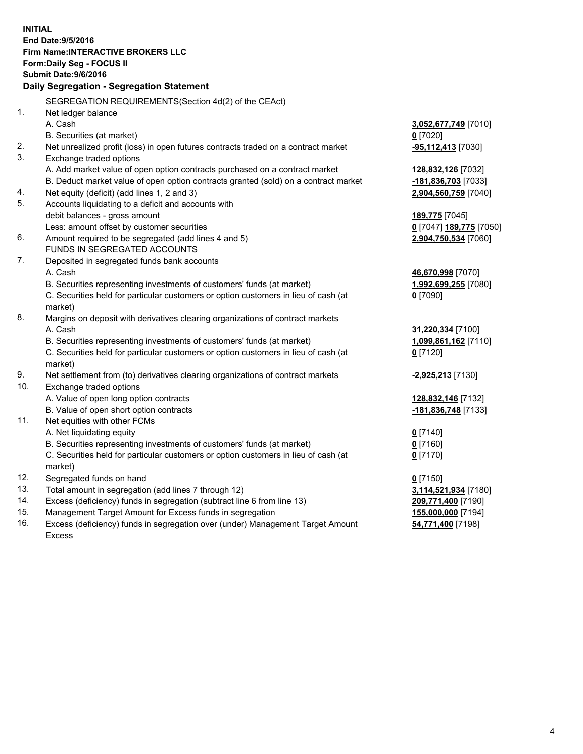**INITIAL End Date:9/5/2016 Firm Name:INTERACTIVE BROKERS LLC Form:Daily Seg - FOCUS II Submit Date:9/6/2016 Daily Segregation - Segregation Statement** SEGREGATION REQUIREMENTS(Section 4d(2) of the CEAct) 1. Net ledger balance A. Cash **3,052,677,749** [7010] B. Securities (at market) **0** [7020] 2. Net unrealized profit (loss) in open futures contracts traded on a contract market **-95,112,413** [7030] 3. Exchange traded options A. Add market value of open option contracts purchased on a contract market **128,832,126** [7032] B. Deduct market value of open option contracts granted (sold) on a contract market **-181,836,703** [7033] 4. Net equity (deficit) (add lines 1, 2 and 3) **2,904,560,759** [7040] 5. Accounts liquidating to a deficit and accounts with debit balances - gross amount **189,775** [7045] Less: amount offset by customer securities **0** [7047] **189,775** [7050] 6. Amount required to be segregated (add lines 4 and 5) **2,904,750,534** [7060] FUNDS IN SEGREGATED ACCOUNTS 7. Deposited in segregated funds bank accounts A. Cash **46,670,998** [7070] B. Securities representing investments of customers' funds (at market) **1,992,699,255** [7080] C. Securities held for particular customers or option customers in lieu of cash (at market) **0** [7090] 8. Margins on deposit with derivatives clearing organizations of contract markets A. Cash **31,220,334** [7100] B. Securities representing investments of customers' funds (at market) **1,099,861,162** [7110] C. Securities held for particular customers or option customers in lieu of cash (at market) **0** [7120] 9. Net settlement from (to) derivatives clearing organizations of contract markets **-2,925,213** [7130] 10. Exchange traded options A. Value of open long option contracts **128,832,146** [7132] B. Value of open short option contracts **-181,836,748** [7133] 11. Net equities with other FCMs A. Net liquidating equity **0** [7140] B. Securities representing investments of customers' funds (at market) **0** [7160] C. Securities held for particular customers or option customers in lieu of cash (at market) **0** [7170] 12. Segregated funds on hand **0** [7150] 13. Total amount in segregation (add lines 7 through 12) **3,114,521,934** [7180] 14. Excess (deficiency) funds in segregation (subtract line 6 from line 13) **209,771,400** [7190] 15. Management Target Amount for Excess funds in segregation **155,000,000** [7194] **54,771,400** [7198]

16. Excess (deficiency) funds in segregation over (under) Management Target Amount Excess